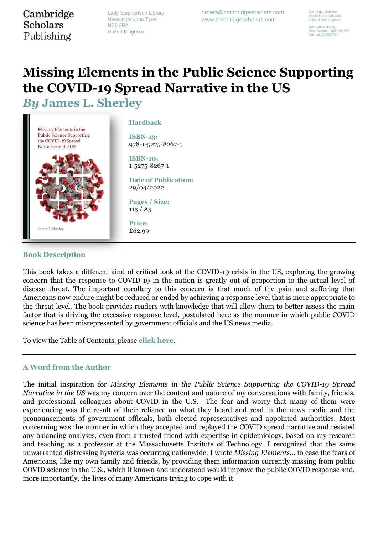## Cambridge **Scholars** Publishing

Lady Stephenson Library Newcastle upon Tyne NE6 2PA United Kingdom

orders@cambridgescholars.com www.cambridgescholars.com

Cambridge Scholars Publishing is registered in the United Kingdom.

Companies House Reg. Number: 4333775. VAT Number: 108280727.

# **Missing Elements in the Public Science Supporting the COVID-19 Spread Narrative in the US**

*By* **James L. Sherley**



#### **Book Description**

This book takes a different kind of critical look at the COVID-19 crisis in the US, exploring the growing concern that the response to COVID-19 in the nation is greatly out of proportion to the actual level of disease threat. The important corollary to this concern is that much of the pain and suffering that Americans now endure might be reduced or ended by achieving a response level that is more appropriate to the threat level. The book provides readers with knowledge that will allow them to better assess the main factor that is driving the excessive response level, postulated here as the manner in which public COVID science has been misrepresented by government officials and the US news media.

To view the Table of Contents, please **[click here](https://www.cambridgescholars.com/uploads/sbpub_sub/Contents-Contributors/978-1-5275-8267-5-contents.pdf)**.

### **A Word from the Author**

The initial inspiration for *Missing Elements in the Public Science Supporting the COVID-19 Spread Narrative in the US* was my concern over the content and nature of my conversations with family, friends, and professional colleagues about COVID in the U.S. The fear and worry that many of them were experiencing was the result of their reliance on what they heard and read in the news media and the pronouncements of government officials, both elected representatives and appointed authorities. Most concerning was the manner in which they accepted and replayed the COVID spread narrative and resisted any balancing analyses, even from a trusted friend with expertise in epidemiology, based on my research and teaching as a professor at the Massachusetts Institute of Technology. I recognized that the same unwarranted distressing hysteria was occurring nationwide. I wrote *Missing Elements…* to ease the fears of Americans, like my own family and friends, by providing them information currently missing from public COVID science in the U.S., which if known and understood would improve the public COVID response and, more importantly, the lives of many Americans trying to cope with it.